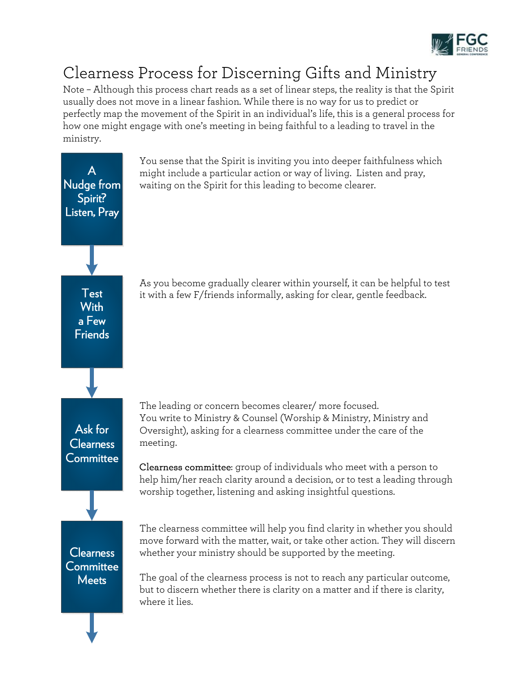

## Clearness Process for Discerning Gifts and Ministry

Note – Although this process chart reads as a set of linear steps, the reality is that the Spirit usually does not move in a linear fashion. While there is no way for us to predict or perfectly map the movement of the Spirit in an individual's life, this is a general process for how one might engage with one's meeting in being faithful to a leading to travel in the ministry.